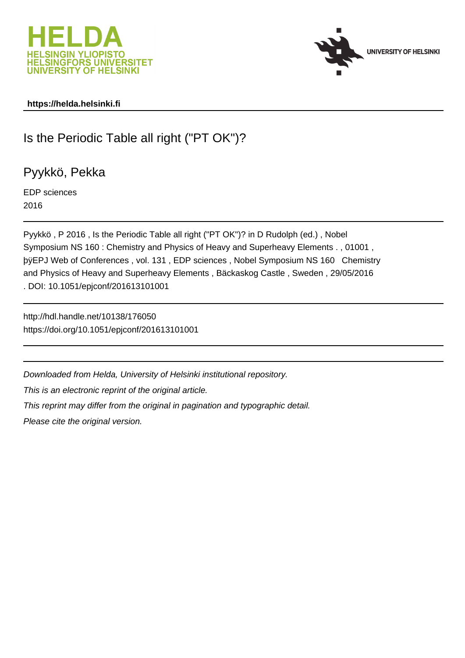



## **https://helda.helsinki.fi**

# Is the Periodic Table all right ("PT OK")?

Pyykkö, Pekka

EDP sciences 2016

Pyykkö , P 2016 , Is the Periodic Table all right ("PT OK")? in D Rudolph (ed.) , Nobel Symposium NS 160 : Chemistry and Physics of Heavy and Superheavy Elements . , 01001 , þÿEPJ Web of Conferences, vol. 131, EDP sciences, Nobel Symposium and Physics of Heavy and Superheavy Elements , Bäckaskog Castle , Sweden , 29/05/2016 . DOI: 10.1051/epjconf/201613101001

http://hdl.handle.net/10138/176050 https://doi.org/10.1051/epjconf/201613101001

Downloaded from Helda, University of Helsinki institutional repository.

This is an electronic reprint of the original article.

This reprint may differ from the original in pagination and typographic detail.

Please cite the original version.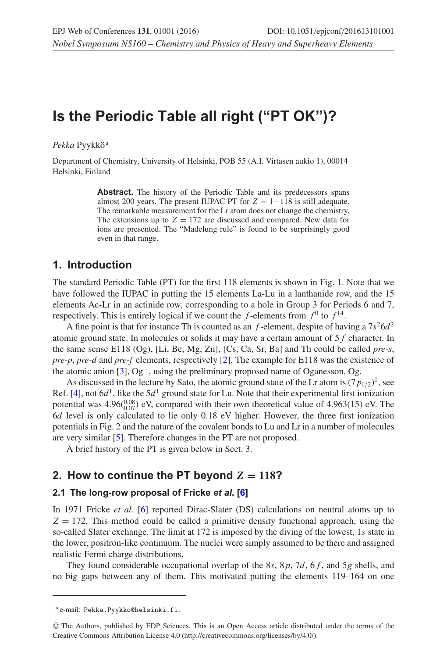## **Is the Periodic Table all right ("PT OK")?**

Pekka Pyykkö<sup>a</sup>

Department of Chemistry, University of Helsinki, POB 55 (A.I. Virtasen aukio 1), 00014 Helsinki, Finland

> **Abstract.** The history of the Periodic Table and its predecessors spans almost 200 years. The present IUPAC PT for  $Z = 1-118$  is still adequate. The remarkable measurement for the Lr atom does not change the chemistry. The extensions up to  $Z = 172$  are discussed and compared. New data for ions are presented. The "Madelung rule" is found to be surprisingly good even in that range.

### **1. Introduction**

The standard Periodic Table (PT) for the first 118 elements is shown in Fig. 1. Note that we have followed the IUPAC in putting the 15 elements La-Lu in a lanthanide row, and the 15 elements Ac-Lr in an actinide row, corresponding to a hole in Group 3 for Periods 6 and 7, respectively. This is entirely logical if we count the f-elements from  $f^0$  to  $f^{14}$ .

A fine point is that for instance Th is counted as an f-element, despite of having a  $7s^26d^2$ atomic ground state. In molecules or solids it may have a certain amount of  $5f$  character. In the same sense E118 (Og), [Li, Be, Mg, Zn], [Cs, Ca, Sr, Ba] and Th could be called *pre-s*, *pre-p*, *pre-d* and *pre-f* elements, respectively [2]. The example for E118 was the existence of the atomic anion [3], Og−, using the preliminary proposed name of Oganesson, Og.

As discussed in the lecture by Sato, the atomic ground state of the Lr atom is  $(7p_{1/2})^1$ , see Ref. [4], not  $6d<sup>1</sup>$ , like the  $5d<sup>1</sup>$  ground state for Lu. Note that their experimental first ionization potential was  $4.96(^{0.08}_{0.07})$  eV, compared with their own theoretical value of  $4.963(15)$  eV. The 6d level is only calculated to lie only 0.18 eV higher. However, the three first ionization potentials in Fig. 2 and the nature of the covalent bonds to Lu and Lr in a number of molecules are very similar [5]. Therefore changes in the PT are not proposed.

A brief history of the PT is given below in Sect. 3.

## **2. How to continue the PT beyond**  $Z = 118$ ?

#### **2.1 The long-row proposal of Fricke** *et al***. [6]**

In 1971 Fricke *et al.* [6] reported Dirac-Slater (DS) calculations on neutral atoms up to  $Z = 172$ . This method could be called a primitive density functional approach, using the so-called Slater exchange. The limit at 172 is imposed by the diving of the lowest, 1s state in the lower, positron-like continuum. The nuclei were simply assumed to be there and assigned realistic Fermi charge distributions.

They found considerable occupational overlap of the 8s, 8p, 7d, 6f, and 5g shells, and no big gaps between any of them. This motivated putting the elements 119–164 on one

<sup>a</sup> e-mail: Pekka.Pyykko@helsinki.fi.

<sup>C</sup> The Authors, published by EDP Sciences. This is an Open Access article distributed under the terms of the Creative Commons Attribution License 4.0 (http://creativecommons.org/licenses/by/4.0/).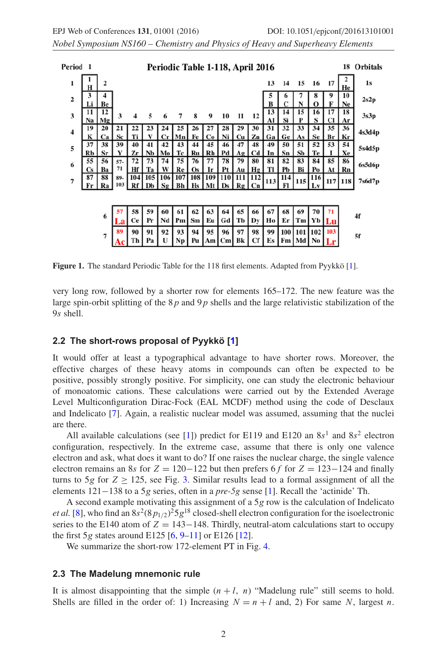*Nobel Symposium NS160 – Chemistry and Physics of Heavy and Superheavy Elements*

| Period 1                |                 |          |             |                 | Periodic Table 1-118, April 2016 |          |                                         |                 |               |                                      |           |                          |          |           |            |                   | 18       | <b>Orbitals</b>     |        |
|-------------------------|-----------------|----------|-------------|-----------------|----------------------------------|----------|-----------------------------------------|-----------------|---------------|--------------------------------------|-----------|--------------------------|----------|-----------|------------|-------------------|----------|---------------------|--------|
| 1                       | н               | 2        |             |                 |                                  |          |                                         |                 |               |                                      |           |                          | 13       | 14        | 15         | 16                | 17       | He                  | 1s     |
| $\overline{\mathbf{c}}$ | 3<br>Li         | Be       |             |                 |                                  |          |                                         |                 |               |                                      |           |                          | B        | 6<br>C    | N          | 8<br>$\Omega$     | 9<br>F   | 10<br>Ne            | 2s2p   |
| 3                       | 11<br>Na        | 12<br>Mg | 3           |                 | 5                                | 6        | 7                                       | 8               | 9             | 10                                   | 11        | 12                       | 13<br>Al | 14<br>Si  | 15<br>P    | 16<br>S           | 17<br>Cl | 18<br>Ar            | 3s3p   |
| 4                       | 19<br>K         | 20<br>Ca | 21<br>Sc    | 22<br>Ti        | 23                               | 24<br>Сr | 25<br>Mn                                | 26<br>Fe        | 27<br>Co      | 28<br>Ni                             | 29<br>Cu  | 30<br>Zn                 | 31<br>Ga | 32<br>Ge  | 33<br>As   | 34<br>Se          | 35<br>Br | 36<br>Кr            | 4s3d4p |
| 5                       | 37<br>Rb        | 38<br>Sr | 39<br>Y     | 40<br>Zr        | 41<br>Nb                         | 42<br>Mo | 43<br>Тc                                | 44              | 45<br>Ru   Rh | 46<br>Pd                             | 47<br>AαI | 48<br>Cd                 | 49<br>In | 50<br>Sn  | 51<br>Sb   | 52<br>Te          | 53<br>1  | 54<br>Xe            | 5s4d5p |
| 6                       | 55<br><b>Cs</b> | 56<br>Ba | $57-$<br>71 | 72<br>Hf        | 73<br>Ta                         | 74<br>W  | 75<br>Re                                | 76<br><b>Os</b> | 77<br>Ir      | 78<br>Pt                             | 79        | 80<br>$Au$ $Hg$          | 81<br>Tl | 82<br>Pb  | 83<br>Bi l | 84<br>Po          | 85       | 86<br>At $\vert$ Rn | 6s5d6p |
| $\overline{7}$          | 87<br>Fr        | 88<br>Ra | 89-<br>103  | 104<br>Rf       | 105<br>Db                        | Sg       | 106   107   108   109<br><b>Bh</b>   Hs |                 | Mt            | <b>110</b><br>$\mathbf{D}\mathbf{s}$ |           | 111   112  <br>$Rg$ $Cn$ | 113      | 114<br>Fl | 115        | <b>116</b><br>Lv  | 117 118  |                     | 7s6d7p |
|                         |                 |          |             |                 |                                  |          |                                         |                 |               |                                      |           |                          |          |           |            |                   |          |                     |        |
|                         |                 | 6        | л           | 58<br><b>Ce</b> | 59<br>Pr                         | 60<br>Nd | 61<br>Pm                                | 62<br>Sm        | 63<br>Eu      | 64<br>Gd                             | 65<br>Тb  | 66<br>Dy                 | 67<br>Ho | 68<br>Er  | 69<br>Tm   | 70<br>Yb          | 71<br>Lu |                     | 4f     |
|                         |                 | 7        | 89          | 90<br>Тh        | 91<br>Pa                         | 92<br>U  | 93<br>Np                                | 94<br>Pu        | 95<br>Am      | 96<br>$\mathbf{C}\mathbf{m}$         | 97<br>Bk  | 98<br>Сf                 | 99<br>Es | 100<br>Fm | Md         | 101   102<br>No l | 103      |                     | 5f     |
|                         |                 |          |             |                 |                                  |          |                                         |                 |               |                                      |           |                          |          |           |            |                   |          |                     |        |

**Figure 1.** The standard Periodic Table for the 118 first elements. Adapted from Pyykkö [1].

very long row, followed by a shorter row for elements 165–172. The new feature was the large spin-orbit splitting of the  $8p$  and  $9p$  shells and the large relativistic stabilization of the 9s shell.

#### **2.2 The short-rows proposal of Pyykkö [1]**

It would offer at least a typographical advantage to have shorter rows. Moreover, the effective charges of these heavy atoms in compounds can often be expected to be positive, possibly strongly positive. For simplicity, one can study the electronic behaviour of monoatomic cations. These calculations were carried out by the Extended Average Level Multiconfiguration Dirac-Fock (EAL MCDF) method using the code of Desclaux and Indelicato [7]. Again, a realistic nuclear model was assumed, assuming that the nuclei are there.

All available calculations (see [1]) predict for E119 and E120 an  $8s^1$  and  $8s^2$  electron configuration, respectively. In the extreme case, assume that there is only one valence electron and ask, what does it want to do? If one raises the nuclear charge, the single valence electron remains an 8s for  $Z = 120-122$  but then prefers 6 f for  $Z = 123-124$  and finally turns to 5g for  $Z \ge 125$ , see Fig. [3.](#page-3-0) Similar results lead to a formal assignment of all the elements 121−138 to a 5g series, often in a *pre-5g* sense [1]. Recall the 'actinide' Th.

A second example motivating this assignment of a 5g row is the calculation of Indelicato *et al.* [8], who find an  $8s^2(8p_{1/2})^25g^{18}$  closed-shell electron configuration for the isoelectronic series to the E140 atom of  $Z = 143-148$ . Thirdly, neutral-atom calculations start to occupy the first 5g states around E125  $[6, 9-11]$  or E126  $[12]$ .

We summarize the short-row 172-element PT in Fig. [4.](#page-4-0)

#### **2.3 The Madelung mnemonic rule**

It is almost disappointing that the simple  $(n + l, n)$  "Madelung rule" still seems to hold. Shells are filled in the order of: 1) Increasing  $N = n + l$  and, 2) For same N, largest n.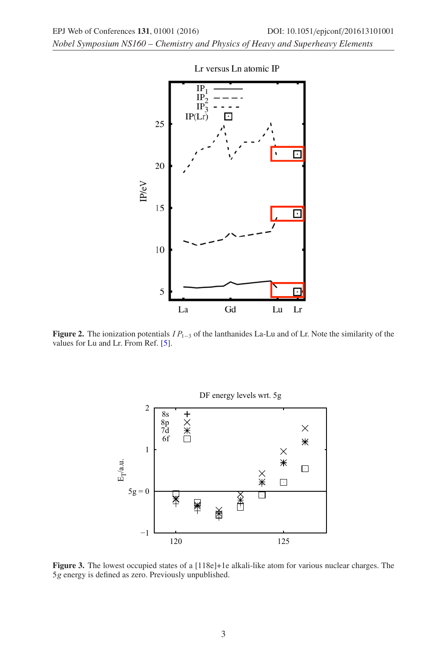<span id="page-3-0"></span>*Nobel Symposium NS160 – Chemistry and Physics of Heavy and Superheavy Elements*



Lr versus Ln atomic IP

**Figure 2.** The ionization potentials  $IP_{1-3}$  of the lanthanides La-Lu and of Lr. Note the similarity of the values for Lu and Lr. From Ref. [5].



**Figure 3.** The lowest occupied states of a [118e]+1e alkali-like atom for various nuclear charges. The 5g energy is defined as zero. Previously unpublished.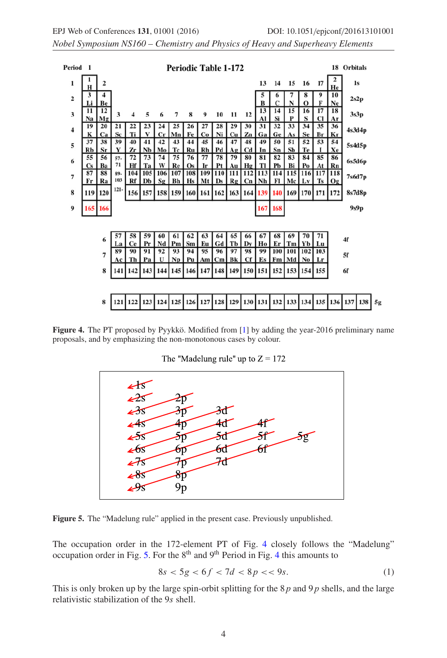<span id="page-4-0"></span>*Nobel Symposium NS160 – Chemistry and Physics of Heavy and Superheavy Elements*



**Figure 4.** The PT proposed by Pyykkö. Modified from [1] by adding the year-2016 preliminary name proposals, and by emphasizing the non-monotonous cases by colour.

The "Madelung rule" up to  $Z = 172$ 



**Figure 5.** The "Madelung rule" applied in the present case. Previously unpublished.

The occupation order in the 172-element PT of Fig. 4 closely follows the "Madelung" occupation order in Fig. 5. For the  $8<sup>th</sup>$  and  $9<sup>th</sup>$  Period in Fig. 4 this amounts to

$$
8s < 5g < 6f < 7d < 8p < 9s. \tag{1}
$$

This is only broken up by the large spin-orbit splitting for the  $8p$  and  $9p$  shells, and the large relativistic stabilization of the 9s shell.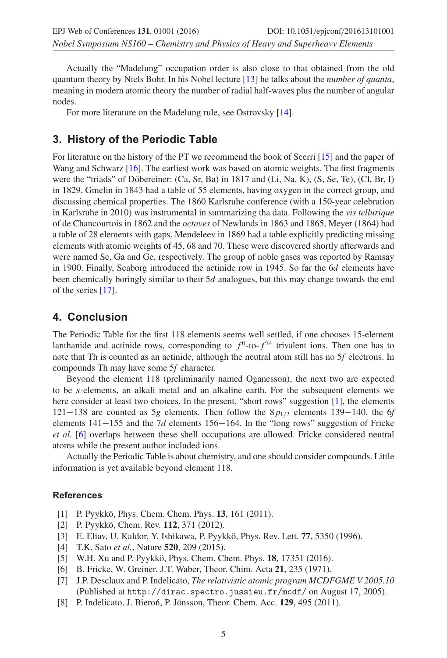Actually the "Madelung" occupation order is also close to that obtained from the old quantum theory by Niels Bohr. In his Nobel lecture [13] he talks about the *number of quanta*, meaning in modern atomic theory the number of radial half-waves plus the number of angular nodes.

For more literature on the Madelung rule, see Ostrovsky [14].

## **3. History of the Periodic Table**

For literature on the history of the PT we recommend the book of Scerri [15] and the paper of Wang and Schwarz [16]. The earliest work was based on atomic weights. The first fragments were the "triads" of Döbereiner: (Ca, Sr, Ba) in 1817 and (Li, Na, K), (S, Se, Te), (Cl, Br, I) in 1829. Gmelin in 1843 had a table of 55 elements, having oxygen in the correct group, and discussing chemical properties. The 1860 Karlsruhe conference (with a 150-year celebration in Karlsruhe in 2010) was instrumental in summarizing tha data. Following the *vis tellurique* of de Chancourtois in 1862 and the *octaves* of Newlands in 1863 and 1865, Meyer (1864) had a table of 28 elements with gaps. Mendeleev in 1869 had a table explicitly predicting missing elements with atomic weights of 45, 68 and 70. These were discovered shortly afterwards and were named Sc, Ga and Ge, respectively. The group of noble gases was reported by Ramsay in 1900. Finally, Seaborg introduced the actinide row in 1945. So far the 6d elements have been chemically boringly similar to their 5d analogues, but this may change towards the end of the series [17].

## **4. Conclusion**

The Periodic Table for the first 118 elements seems well settled, if one chooses 15-element lanthanide and actinide rows, corresponding to  $f^0$ -to- $f^{14}$  trivalent ions. Then one has to note that Th is counted as an actinide, although the neutral atom still has no 5*f* electrons. In compounds Th may have some 5*f* character.

Beyond the element 118 (preliminarily named Oganesson), the next two are expected to be s-elements, an alkali metal and an alkaline earth. For the subsequent elements we here consider at least two choices. In the present, "short rows" suggestion [1], the elements 121−138 are counted as 5*g* elements. Then follow the  $8p_{1/2}$  elements 139−140, the 6*f* elements 141−155 and the 7*d* elements 156−164. In the "long rows" suggestion of Fricke *et al.* [6] overlaps between these shell occupations are allowed. Fricke considered neutral atoms while the present author included ions.

Actually the Periodic Table is about chemistry, and one should consider compounds. Little information is yet available beyond element 118.

#### **References**

- [1] P. Pyykkö, Phys. Chem. Chem. Phys. **13**, 161 (2011).
- [2] P. Pyykkö, Chem. Rev. **112**, 371 (2012).
- [3] E. Eliav, U. Kaldor, Y. Ishikawa, P. Pyykkö, Phys. Rev. Lett. **77**, 5350 (1996).
- [4] T.K. Sato *et al.*, Nature **520**, 209 (2015).
- [5] W.H. Xu and P. Pyykkö, Phys. Chem. Chem. Phys. **18**, 17351 (2016).
- [6] B. Fricke, W. Greiner, J.T. Waber, Theor. Chim. Acta **21**, 235 (1971).
- [7] J.P. Desclaux and P. Indelicato, *The relativistic atomic program MCDFGME V 2005.10* (Published at http://dirac.spectro.jussieu.fr/mcdf/ on August 17, 2005).
- [8] P. Indelicato, J. Bieron, P. Jönsson, Theor. Chem. Acc. **129**, 495 (2011).